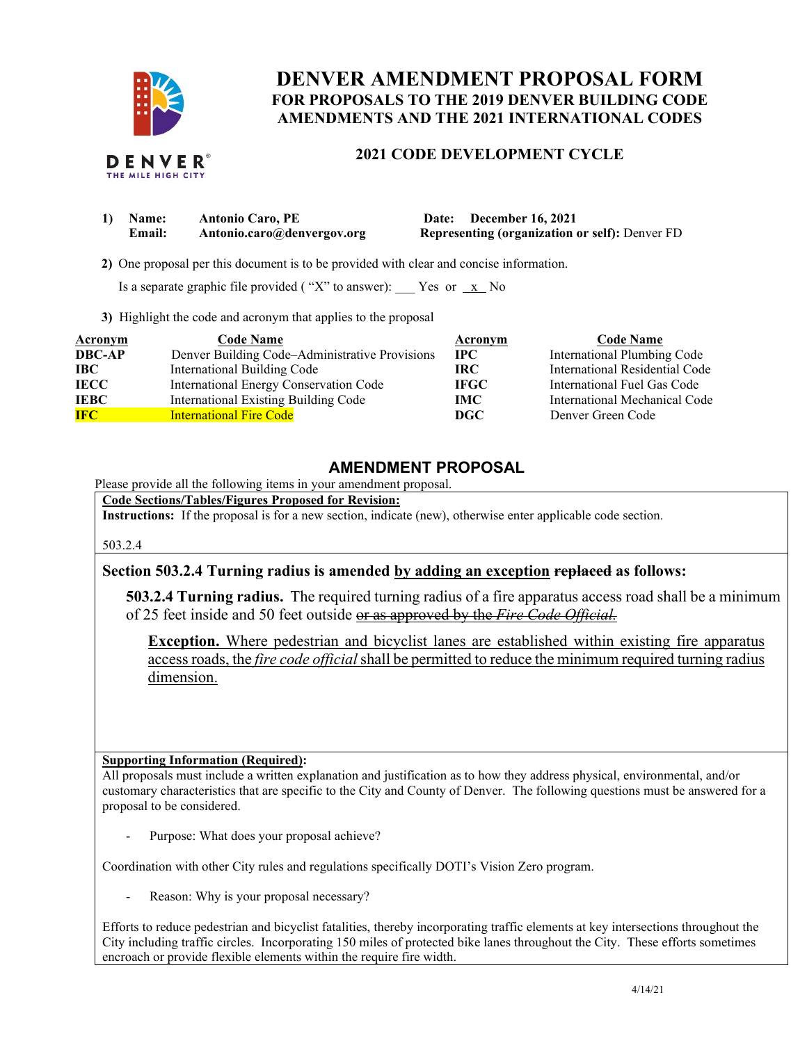

# **DENVER AMENDMENT PROPOSAL FORM FOR PROPOSALS TO THE 2019 DENVER BUILDING CODE AMENDMENTS AND THE 2021 INTERNATIONAL CODES**

### **2021 CODE DEVELOPMENT CYCLE**

| 1) Name: | <b>Antonio Caro, PE</b>    | Date: December 16, 2021                               |
|----------|----------------------------|-------------------------------------------------------|
| Email:   | Antonio.caro@denvergov.org | <b>Representing (organization or self):</b> Denver FD |

 **2)** One proposal per this document is to be provided with clear and concise information.

Is a separate graphic file provided ("X" to answer):  $\frac{X}{X}$  No

**3)** Highlight the code and acronym that applies to the proposal

| Acronym       | <b>Code Name</b>                               | Acronym     | <b>Code Name</b>               |
|---------------|------------------------------------------------|-------------|--------------------------------|
| <b>DBC-AP</b> | Denver Building Code-Administrative Provisions | $\bf IPC$   | International Plumbing Code    |
| IBC           | <b>International Building Code</b>             | IRC-        | International Residential Code |
| <b>IECC</b>   | International Energy Conservation Code         | <b>IFGC</b> | International Fuel Gas Code    |
| <b>IEBC</b>   | International Existing Building Code           | IMC         | International Mechanical Code  |
| <b>IFC</b>    | <b>International Fire Code</b>                 | DGC         | Denver Green Code              |

## **AMENDMENT PROPOSAL**

Please provide all the following items in your amendment proposal.

**Code Sections/Tables/Figures Proposed for Revision:**

**Instructions:** If the proposal is for a new section, indicate (new), otherwise enter applicable code section.

503.2.4

### **Section 503.2.4 Turning radius is amended by adding an exception replaced as follows:**

**503.2.4 Turning radius.** The required turning radius of a fire apparatus access road shall be a minimum of 25 feet inside and 50 feet outside or as approved by the *Fire Code Official.*

**Exception.** Where pedestrian and bicyclist lanes are established within existing fire apparatus access roads, the *fire code official* shall be permitted to reduce the minimum required turning radius dimension.

#### **Supporting Information (Required):**

All proposals must include a written explanation and justification as to how they address physical, environmental, and/or customary characteristics that are specific to the City and County of Denver. The following questions must be answered for a proposal to be considered.

Purpose: What does your proposal achieve?

Coordination with other City rules and regulations specifically DOTI's Vision Zero program.

Reason: Why is your proposal necessary?

Efforts to reduce pedestrian and bicyclist fatalities, thereby incorporating traffic elements at key intersections throughout the City including traffic circles. Incorporating 150 miles of protected bike lanes throughout the City. These efforts sometimes encroach or provide flexible elements within the require fire width.